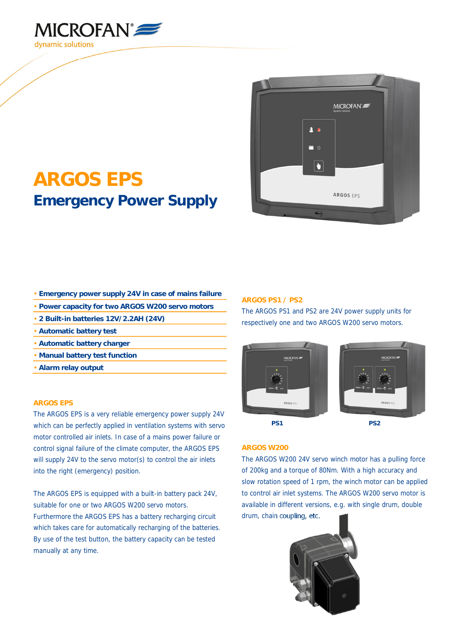



# **ARGOS EPS Emergency Power Supply**

- **Emergency power supply 24V in case of mains failure**
- **Power capacity for two ARGOS W200 servo motors**
- **2 Built-in batteries 12V/2.2AH (24V)**
- **Automatic battery test**
- **Automatic battery charger**
- **Manual battery test function**
- **Alarm relay output**

#### **ARGOS EPS**

The ARGOS EPS is a very reliable emergency power supply 24V which can be perfectly applied in ventilation systems with servo motor controlled air inlets. In case of a mains power failure or control signal failure of the climate computer, the ARGOS EPS will supply 24V to the servo motor(s) to control the air inlets into the right (emergency) position.

The ARGOS EPS is equipped with a built-in battery pack 24V, suitable for one or two ARGOS W200 servo motors. Furthermore the ARGOS EPS has a battery recharging circuit which takes care for automatically recharging of the batteries. By use of the test button, the battery capacity can be tested manually at any time.

#### **ARGOS PS1 / PS2**

The ARGOS PS1 and PS2 are 24V power supply units for respectively one and two ARGOS W200 servo motors.





### **ARGOS W200**

The ARGOS W200 24V servo winch motor has a pulling force of 200kg and a torque of 80Nm. With a high accuracy and slow rotation speed of 1 rpm, the winch motor can be applied to control air inlet systems. The ARGOS W200 servo motor is available in different versions, e.g. with single drum, double drum, chain coupling, etc.